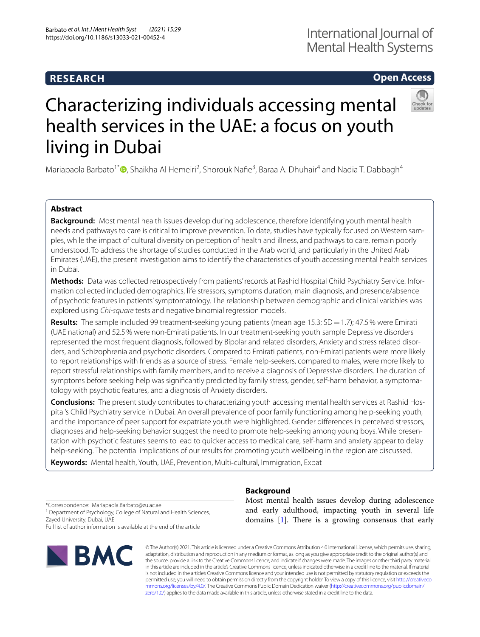## **RESEARCH**

## **Open Access**



# Characterizing individuals accessing mental health services in the UAE: a focus on youth living in Dubai

Mariapaola Barbato<sup>1\*</sup> D[,](http://orcid.org/0000-0003-3184-0603) Shaikha Al Hemeiri<sup>2</sup>, Shorouk Nafie<sup>3</sup>, Baraa A. Dhuhair<sup>4</sup> and Nadia T. Dabbagh<sup>4</sup>

## **Abstract**

**Background:** Most mental health issues develop during adolescence, therefore identifying youth mental health needs and pathways to care is critical to improve prevention. To date, studies have typically focused on Western samples, while the impact of cultural diversity on perception of health and illness, and pathways to care, remain poorly understood. To address the shortage of studies conducted in the Arab world, and particularly in the United Arab Emirates (UAE), the present investigation aims to identify the characteristics of youth accessing mental health services in Dubai.

**Methods:** Data was collected retrospectively from patients' records at Rashid Hospital Child Psychiatry Service. Information collected included demographics, life stressors, symptoms duration, main diagnosis, and presence/absence of psychotic features in patients' symptomatology. The relationship between demographic and clinical variables was explored using *Chi-square* tests and negative binomial regression models.

**Results:** The sample included 99 treatment-seeking young patients (mean age 15.3; SD = 1.7); 47.5% were Emirati (UAE national) and 52.5% were non-Emirati patients. In our treatment-seeking youth sample Depressive disorders represented the most frequent diagnosis, followed by Bipolar and related disorders, Anxiety and stress related disorders, and Schizophrenia and psychotic disorders. Compared to Emirati patients, non-Emirati patients were more likely to report relationships with friends as a source of stress. Female help-seekers, compared to males, were more likely to report stressful relationships with family members, and to receive a diagnosis of Depressive disorders. The duration of symptoms before seeking help was signifcantly predicted by family stress, gender, self-harm behavior, a symptomatology with psychotic features, and a diagnosis of Anxiety disorders.

**Conclusions:** The present study contributes to characterizing youth accessing mental health services at Rashid Hospital's Child Psychiatry service in Dubai. An overall prevalence of poor family functioning among help-seeking youth, and the importance of peer support for expatriate youth were highlighted. Gender diferences in perceived stressors, diagnoses and help-seeking behavior suggest the need to promote help-seeking among young boys. While presentation with psychotic features seems to lead to quicker access to medical care, self-harm and anxiety appear to delay help-seeking. The potential implications of our results for promoting youth wellbeing in the region are discussed.

**Keywords:** Mental health, Youth, UAE, Prevention, Multi‐cultural, Immigration, Expat

\*Correspondence: Mariapaola.Barbato@zu.ac.ae

<sup>1</sup> Department of Psychology, College of Natural and Health Sciences, Zayed University, Dubai, UAE

Full list of author information is available at the end of the article



**Background**

Most mental health issues develop during adolescence and early adulthood, impacting youth in several life domains  $[1]$  $[1]$ . There is a growing consensus that early

© The Author(s) 2021. This article is licensed under a Creative Commons Attribution 4.0 International License, which permits use, sharing, adaptation, distribution and reproduction in any medium or format, as long as you give appropriate credit to the original author(s) and the source, provide a link to the Creative Commons licence, and indicate if changes were made. The images or other third party material in this article are included in the article's Creative Commons licence, unless indicated otherwise in a credit line to the material. If material is not included in the article's Creative Commons licence and your intended use is not permitted by statutory regulation or exceeds the permitted use, you will need to obtain permission directly from the copyright holder. To view a copy of this licence, visit [http://creativeco](http://creativecommons.org/licenses/by/4.0/) [mmons.org/licenses/by/4.0/.](http://creativecommons.org/licenses/by/4.0/) The Creative Commons Public Domain Dedication waiver ([http://creativecommons.org/publicdomain/](http://creativecommons.org/publicdomain/zero/1.0/) [zero/1.0/\)](http://creativecommons.org/publicdomain/zero/1.0/) applies to the data made available in this article, unless otherwise stated in a credit line to the data.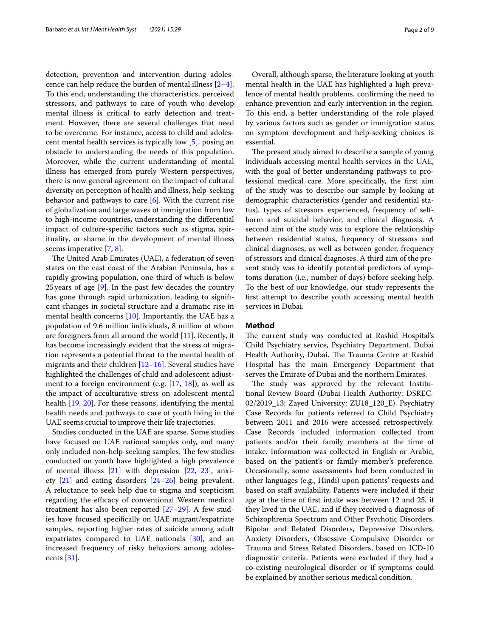detection, prevention and intervention during adolescence can help reduce the burden of mental illness [\[2](#page-7-1)[–4](#page-7-2)]. To this end, understanding the characteristics, perceived stressors, and pathways to care of youth who develop mental illness is critical to early detection and treatment. However, there are several challenges that need to be overcome. For instance, access to child and adolescent mental health services is typically low [[5\]](#page-7-3), posing an obstacle to understanding the needs of this population. Moreover, while the current understanding of mental illness has emerged from purely Western perspectives, there is now general agreement on the impact of cultural diversity on perception of health and illness, help-seeking behavior and pathways to care  $[6]$  $[6]$ . With the current rise of globalization and large waves of immigration from low to high-income countries, understanding the diferential impact of culture-specifc factors such as stigma, spirituality, or shame in the development of mental illness seems imperative [\[7,](#page-7-5) [8](#page-7-6)].

The United Arab Emirates (UAE), a federation of seven states on the east coast of the Arabian Peninsula, has a rapidly growing population, one-third of which is below 25 years of age  $[9]$  $[9]$ . In the past few decades the country has gone through rapid urbanization, leading to signifcant changes in societal structure and a dramatic rise in mental health concerns [\[10](#page-7-8)]. Importantly, the UAE has a population of 9.6 million individuals, 8 million of whom are foreigners from all around the world [\[11](#page-7-9)]. Recently, it has become increasingly evident that the stress of migration represents a potential threat to the mental health of migrants and their children [\[12–](#page-7-10)[16\]](#page-7-11). Several studies have highlighted the challenges of child and adolescent adjustment to a foreign environment (e.g. [\[17,](#page-7-12) [18](#page-7-13)]), as well as the impact of acculturative stress on adolescent mental health [\[19](#page-7-14), [20](#page-7-15)]. For these reasons, identifying the mental health needs and pathways to care of youth living in the UAE seems crucial to improve their life trajectories.

Studies conducted in the UAE are sparse. Some studies have focused on UAE national samples only, and many only included non-help-seeking samples. The few studies conducted on youth have highlighted a high prevalence of mental illness [\[21](#page-7-16)] with depression [[22,](#page-7-17) [23\]](#page-7-18), anxiety [[21\]](#page-7-16) and eating disorders [\[24](#page-7-19)[–26\]](#page-7-20) being prevalent. A reluctance to seek help due to stigma and scepticism regarding the efficacy of conventional Western medical treatment has also been reported [\[27–](#page-7-21)[29\]](#page-7-22). A few studies have focused specifcally on UAE migrant/expatriate samples, reporting higher rates of suicide among adult expatriates compared to UAE nationals [[30\]](#page-7-23), and an increased frequency of risky behaviors among adolescents [[31](#page-7-24)].

Overall, although sparse, the literature looking at youth mental health in the UAE has highlighted a high prevalence of mental health problems, confrming the need to enhance prevention and early intervention in the region. To this end, a better understanding of the role played by various factors such as gender or immigration status on symptom development and help-seeking choices is essential.

The present study aimed to describe a sample of young individuals accessing mental health services in the UAE, with the goal of better understanding pathways to professional medical care. More specifcally, the frst aim of the study was to describe our sample by looking at demographic characteristics (gender and residential status), types of stressors experienced, frequency of selfharm and suicidal behavior, and clinical diagnosis. A second aim of the study was to explore the relationship between residential status, frequency of stressors and clinical diagnoses, as well as between gender, frequency of stressors and clinical diagnoses. A third aim of the present study was to identify potential predictors of symptoms duration (i.e., number of days) before seeking help. To the best of our knowledge, our study represents the frst attempt to describe youth accessing mental health services in Dubai.

#### **Method**

The current study was conducted at Rashid Hospital's Child Psychiatry service, Psychiatry Department, Dubai Health Authority, Dubai. The Trauma Centre at Rashid Hospital has the main Emergency Department that serves the Emirate of Dubai and the northern Emirates.

The study was approved by the relevant Institutional Review Board (Dubai Health Authority: DSREC-02/2019\_13; Zayed University: ZU18\_120\_E). Psychiatry Case Records for patients referred to Child Psychiatry between 2011 and 2016 were accessed retrospectively. Case Records included information collected from patients and/or their family members at the time of intake. Information was collected in English or Arabic, based on the patient's or family member's preference. Occasionally, some assessments had been conducted in other languages (e.g., Hindi) upon patients' requests and based on staff availability. Patients were included if their age at the time of frst intake was between 12 and 25, if they lived in the UAE, and if they received a diagnosis of Schizophrenia Spectrum and Other Psychotic Disorders, Bipolar and Related Disorders, Depressive Disorders, Anxiety Disorders, Obsessive Compulsive Disorder or Trauma and Stress Related Disorders, based on ICD-10 diagnostic criteria. Patients were excluded if they had a co-existing neurological disorder or if symptoms could be explained by another serious medical condition.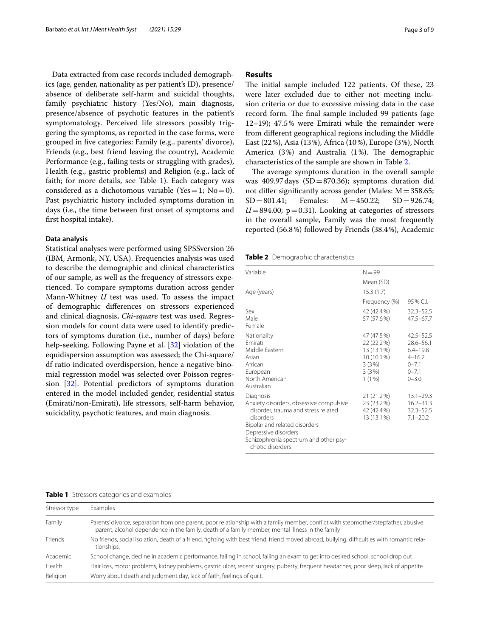Data extracted from case records included demographics (age, gender, nationality as per patient's ID), presence/ absence of deliberate self-harm and suicidal thoughts, family psychiatric history (Yes/No), main diagnosis, presence/absence of psychotic features in the patient's symptomatology. Perceived life stressors possibly triggering the symptoms, as reported in the case forms, were grouped in fve categories: Family (e.g., parents' divorce), Friends (e.g., best friend leaving the country), Academic Performance (e.g., failing tests or struggling with grades), Health (e.g., gastric problems) and Religion (e.g., lack of faith; for more details, see Table [1](#page-2-0)). Each category was considered as a dichotomous variable (Yes = 1; No = 0). Past psychiatric history included symptoms duration in days (i.e., the time between frst onset of symptoms and frst hospital intake).

#### **Data analysis**

Statistical analyses were performed using SPSSversion 26 (IBM, Armonk, NY, USA). Frequencies analysis was used to describe the demographic and clinical characteristics of our sample, as well as the frequency of stressors experienced. To compare symptoms duration across gender Mann-Whitney *U* test was used. To assess the impact of demographic diferences on stressors experienced and clinical diagnosis, *Chi-square* test was used. Regression models for count data were used to identify predictors of symptoms duration (i.e., number of days) before help-seeking. Following Payne et al. [\[32](#page-7-25)] violation of the equidispersion assumption was assessed; the Chi-square/ df ratio indicated overdispersion, hence a negative binomial regression model was selected over Poisson regression [[32\]](#page-7-25). Potential predictors of symptoms duration entered in the model included gender, residential status (Emirati/non-Emirati), life stressors, self-harm behavior, suicidality, psychotic features, and main diagnosis.

#### **Results**

The initial sample included 122 patients. Of these, 23 were later excluded due to either not meeting inclusion criteria or due to excessive missing data in the case record form. The final sample included 99 patients (age 12–19); 47.5% were Emirati while the remainder were from diferent geographical regions including the Middle East (22%), Asia (13%), Africa (10%), Europe (3%), North America (3%) and Australia (1%). The demographic characteristics of the sample are shown in Table [2.](#page-2-1)

The average symptoms duration in the overall sample was 409.97 days  $(SD=870.36)$ ; symptoms duration did not differ significantly across gender (Males:  $M = 358.65$ ;<br> $SD = 801.41$ ; Females:  $M = 450.22$ ;  $SD = 926.74$ ;  $SD = 926.74;$  $U=894.00$ ;  $p=0.31$ ). Looking at categories of stressors in the overall sample, Family was the most frequently reported (56.8%) followed by Friends (38.4%), Academic

<span id="page-2-1"></span>**Table 2** Demographic characteristics

| $N = 99$                                                                              |                                                                                                     |
|---------------------------------------------------------------------------------------|-----------------------------------------------------------------------------------------------------|
| Mean (SD)                                                                             |                                                                                                     |
| 15.3(1.7)                                                                             |                                                                                                     |
| Frequency (%)                                                                         | $95\%$ C.I.                                                                                         |
| 42 (42.4%)<br>57 (57.6%)                                                              | $32.3 - 52.5$<br>$47.5 - 67.7$                                                                      |
| 47 (47.5 %)<br>22 (22.2%)<br>13 (13.1 %)<br>10 (10.1 %)<br>3(3%)<br>3(3%)<br>$1(1\%)$ | $42.5 - 52.5$<br>$28.6 - 56.1$<br>$6.4 - 19.8$<br>$4 - 16.2$<br>$0 - 7.1$<br>$0 - 7.1$<br>$0 - 3.0$ |
| 21 (21.2%)<br>23 (23.2%)<br>42 (42.4%)<br>13 (13.1 %)                                 | $13.1 - 29.3$<br>$16.2 - 31.3$<br>$32.3 - 52.5$<br>$7.1 - 20.2$                                     |
|                                                                                       |                                                                                                     |

<span id="page-2-0"></span>

|  | <b>Table 1</b> Stressors categories and examples |  |
|--|--------------------------------------------------|--|
|  |                                                  |  |

| Stressor type | Examples                                                                                                                                                                                                                               |
|---------------|----------------------------------------------------------------------------------------------------------------------------------------------------------------------------------------------------------------------------------------|
| Family        | Parents' divorce, separation from one parent, poor relationship with a family member, conflict with stepmother/stepfather, abusive<br>parent, alcohol dependence in the family, death of a family member, mental illness in the family |
| Friends       | No friends, social isolation, death of a friend, fighting with best friend, friend moved abroad, bullying, difficulties with romantic rela-<br>tionships.                                                                              |
| Academic      | School change, decline in academic performance, failing in school, failing an exam to get into desired school, school drop out                                                                                                         |
| Health        | Hair loss, motor problems, kidney problems, gastric ulcer, recent surgery, puberty, frequent headaches, poor sleep, lack of appetite                                                                                                   |
| Religion      | Worry about death and judgment day, lack of faith, feelings of quilt.                                                                                                                                                                  |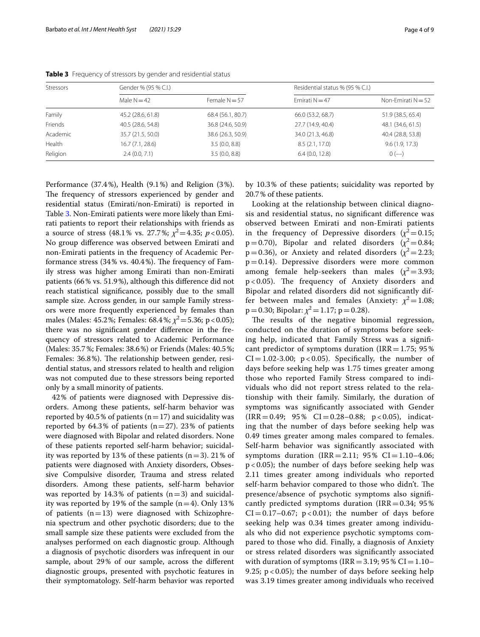| Stressors | Gender % (95 % C.I.) |                   | Residential status % (95 % C.I.) |                      |  |
|-----------|----------------------|-------------------|----------------------------------|----------------------|--|
|           | Male $N = 42$        | Female $N = 57$   | $Fmirati N = 47$                 | Non-Emirati $N = 52$ |  |
| Family    | 45.2 (28.6, 61.8)    | 68.4 (56.1, 80.7) | 66.0 (53.2, 68.7)                | 51.9 (38.5, 65.4)    |  |
| Friends   | 40.5 (28.6, 54.8)    | 36.8 (24.6, 50.9) | 27.7 (14.9, 40.4)                | 48.1 (34.6, 61.5)    |  |
| Academic  | 35.7 (21.5, 50.0)    | 38.6 (26.3, 50.9) | 34.0 (21.3, 46.8)                | 40.4 (28.8, 53.8)    |  |
| Health    | 16.7(7.1, 28.6)      | 3.5(0.0, 8.8)     | 8.5(2.1, 17.0)                   | 9.6(1.9, 17.3)       |  |
| Religion  | 2.4(0.0, 7.1)        | 3.5(0.0, 8.8)     | 6.4(0.0, 12.8)                   | $0$ (--)             |  |

<span id="page-3-0"></span>**Table 3** Frequency of stressors by gender and residential status

Performance (37.4%), Health (9.1%) and Religion (3%). The frequency of stressors experienced by gender and residential status (Emirati/non-Emirati) is reported in Table [3](#page-3-0). Non-Emirati patients were more likely than Emirati patients to report their relationships with friends as a source of stress (48.1% vs. 27.7%;  $\chi^2$  = 4.35; *p* < 0.05). No group diference was observed between Emirati and non-Emirati patients in the frequency of Academic Performance stress  $(34\% \text{ vs. } 40.4\%)$ . The frequency of Family stress was higher among Emirati than non-Emirati patients (66% vs. 51.9%), although this diference did not reach statistical signifcance, possibly due to the small sample size. Across gender, in our sample Family stressors were more frequently experienced by females than males (Males: 45.2%; Females: 68.4%;  $\chi^2$  = 5.36; p < 0.05); there was no signifcant gender diference in the frequency of stressors related to Academic Performance (Males: 35.7%; Females: 38.6%) or Friends (Males: 40.5%; Females: 36.8%). The relationship between gender, residential status, and stressors related to health and religion was not computed due to these stressors being reported only by a small minority of patients.

42% of patients were diagnosed with Depressive disorders. Among these patients, self-harm behavior was reported by 40.5% of patients ( $n=17$ ) and suicidality was reported by 64.3% of patients  $(n=27)$ . 23% of patients were diagnosed with Bipolar and related disorders. None of these patients reported self-harm behavior; suicidality was reported by 13% of these patients  $(n=3)$ . 21% of patients were diagnosed with Anxiety disorders, Obsessive Compulsive disorder, Trauma and stress related disorders. Among these patients, self-harm behavior was reported by 14.3% of patients  $(n=3)$  and suicidality was reported by 19% of the sample  $(n=4)$ . Only 13% of patients  $(n=13)$  were diagnosed with Schizophrenia spectrum and other psychotic disorders; due to the small sample size these patients were excluded from the analyses performed on each diagnostic group. Although a diagnosis of psychotic disorders was infrequent in our sample, about 29% of our sample, across the diferent diagnostic groups, presented with psychotic features in their symptomatology. Self-harm behavior was reported by 10.3% of these patients; suicidality was reported by 20.7% of these patients.

Looking at the relationship between clinical diagnosis and residential status, no signifcant diference was observed between Emirati and non-Emirati patients in the frequency of Depressive disorders ( $\chi^2$  = 0.15;  $p=0.70$ ), Bipolar and related disorders ( $\chi^2=0.84$ ;  $p=0.36$ ), or Anxiety and related disorders ( $\chi^2=2.23$ ; p=0.14). Depressive disorders were more common among female help-seekers than males  $(\chi^2 = 3.93;$  $p < 0.05$ ). The frequency of Anxiety disorders and Bipolar and related disorders did not signifcantly differ between males and females (Anxiety:  $\chi^2$  = 1.08;  $p=0.30$ ; Bipolar:  $\chi^2=1.17$ ;  $p=0.28$ ).

The results of the negative binomial regression, conducted on the duration of symptoms before seeking help, indicated that Family Stress was a signifcant predictor of symptoms duration (IRR =  $1.75$ ; 95%)  $CI = 1.02-3.00$ ;  $p < 0.05$ ). Specifically, the number of days before seeking help was 1.75 times greater among those who reported Family Stress compared to individuals who did not report stress related to the relationship with their family. Similarly, the duration of symptoms was signifcantly associated with Gender  $(IRR = 0.49; 95\% CI = 0.28-0.88; p < 0.05)$ , indicating that the number of days before seeking help was 0.49 times greater among males compared to females. Self-harm behavior was signifcantly associated with symptoms duration  $(IRR = 2.11; 95\% CI = 1.10-4.06;$  $p < 0.05$ ); the number of days before seeking help was 2.11 times greater among individuals who reported self-harm behavior compared to those who didn't. The presence/absence of psychotic symptoms also signifcantly predicted symptoms duration (IRR =  $0.34$ ; 95%)  $CI = 0.17-0.67$ ;  $p < 0.01$ ); the number of days before seeking help was 0.34 times greater among individuals who did not experience psychotic symptoms compared to those who did. Finally, a diagnosis of Anxiety or stress related disorders was signifcantly associated with duration of symptoms ( $IRR = 3.19$ ; 95% CI = 1.10– 9.25;  $p < 0.05$ ); the number of days before seeking help was 3.19 times greater among individuals who received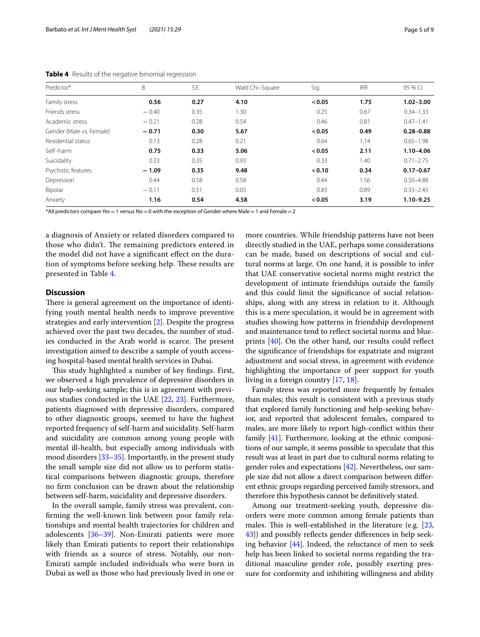| Predictor*               | B       | S.E. | Wald Chi-Square | Sig.   | <b>IRR</b> | 95 % CI       |
|--------------------------|---------|------|-----------------|--------|------------|---------------|
| Family stress            | 0.56    | 0.27 | 4.10            | < 0.05 | 1.75       | $1.02 - 3.00$ |
| Friends stress           | $-0.40$ | 0.35 | 1.30            | 0.25   | 0.67       | $0.34 - 1.33$ |
| Academic stress          | $-0.21$ | 0.28 | 0.54            | 0.46   | 0.81       | $0.47 - 1.41$ |
| Gender (Male vs. Female) | $-0.71$ | 0.30 | 5.67            | < 0.05 | 0.49       | $0.28 - 0.88$ |
| Residential status       | 0.13    | 0.28 | 0.21            | 0.64   | 1.14       | $0.65 - 1.98$ |
| Self-harm                | 0.75    | 0.33 | 5.06            | < 0.05 | 2.11       | $1.10 - 4.06$ |
| Suicidality              | 0.33    | 0.35 | 0.93            | 0.33   | 1.40       | $0.71 - 2.75$ |
| Psychotic features       | $-1.09$ | 0.35 | 9.48            | < 0.10 | 0.34       | $0.17 - 0.67$ |
| Depression               | 0.44    | 0.58 | 0.58            | 0.44   | 1.56       | $0.50 - 4.88$ |
| Bipolar                  | $-0.11$ | 0.51 | 0.05            | 0.83   | 0.89       | $0.33 - 2.45$ |
| Anxiety                  | 1.16    | 0.54 | 4.58            | < 0.05 | 3.19       | $1.10 - 9.25$ |

<span id="page-4-0"></span>**Table 4** Results of the negative binomial regression

\*All predictors compare Yes = 1 versus No = 0 with the exception of Gender where Male = 1 and Female = 2

a diagnosis of Anxiety or related disorders compared to those who didn't. The remaining predictors entered in the model did not have a signifcant efect on the duration of symptoms before seeking help. These results are presented in Table [4.](#page-4-0)

### **Discussion**

There is general agreement on the importance of identifying youth mental health needs to improve preventive strategies and early intervention [[2\]](#page-7-1). Despite the progress achieved over the past two decades, the number of studies conducted in the Arab world is scarce. The present investigation aimed to describe a sample of youth accessing hospital-based mental health services in Dubai.

This study highlighted a number of key findings. First, we observed a high prevalence of depressive disorders in our help-seeking sample; this is in agreement with previous studies conducted in the UAE [\[22](#page-7-17), [23\]](#page-7-18). Furthermore, patients diagnosed with depressive disorders, compared to other diagnostic groups, seemed to have the highest reported frequency of self-harm and suicidality. Self-harm and suicidality are common among young people with mental ill-health, but especially among individuals with mood disorders [[33](#page-7-26)[–35\]](#page-7-27). Importantly, in the present study the small sample size did not allow us to perform statistical comparisons between diagnostic groups, therefore no frm conclusion can be drawn about the relationship between self-harm, suicidality and depressive disorders.

In the overall sample, family stress was prevalent, confrming the well-known link between poor family relationships and mental health trajectories for children and adolescents [\[36](#page-7-28)[–39](#page-7-29)]. Non-Emirati patients were more likely than Emirati patients to report their relationships with friends as a source of stress. Notably, our non-Emirati sample included individuals who were born in Dubai as well as those who had previously lived in one or more countries. While friendship patterns have not been directly studied in the UAE, perhaps some considerations can be made, based on descriptions of social and cultural norms at large. On one hand, it is possible to infer that UAE conservative societal norms might restrict the development of intimate friendships outside the family and this could limit the signifcance of social relationships, along with any stress in relation to it. Although this is a mere speculation, it would be in agreement with studies showing how patterns in friendship development and maintenance tend to refect societal norms and blueprints [[40](#page-7-30)]. On the other hand, our results could refect the signifcance of friendships for expatriate and migrant adjustment and social stress, in agreement with evidence highlighting the importance of peer support for youth living in a foreign country [[17,](#page-7-12) [18\]](#page-7-13).

Family stress was reported more frequently by females than males; this result is consistent with a previous study that explored family functioning and help-seeking behavior, and reported that adolescent females, compared to males, are more likely to report high-confict within their family [\[41\]](#page-7-31). Furthermore, looking at the ethnic compositions of our sample, it seems possible to speculate that this result was at least in part due to cultural norms relating to gender roles and expectations [\[42\]](#page-7-32). Nevertheless, our sample size did not allow a direct comparison between diferent ethnic groups regarding perceived family stressors, and therefore this hypothesis cannot be defnitively stated.

Among our treatment-seeking youth, depressive disorders were more common among female patients than males. This is well-established in the literature (e.g.  $[23,$  $[23,$  $[23,$ [43](#page-7-33)]) and possibly reflects gender differences in help seeking behavior [[44](#page-7-34)]. Indeed, the reluctance of men to seek help has been linked to societal norms regarding the traditional masculine gender role, possibly exerting pressure for conformity and inhibiting willingness and ability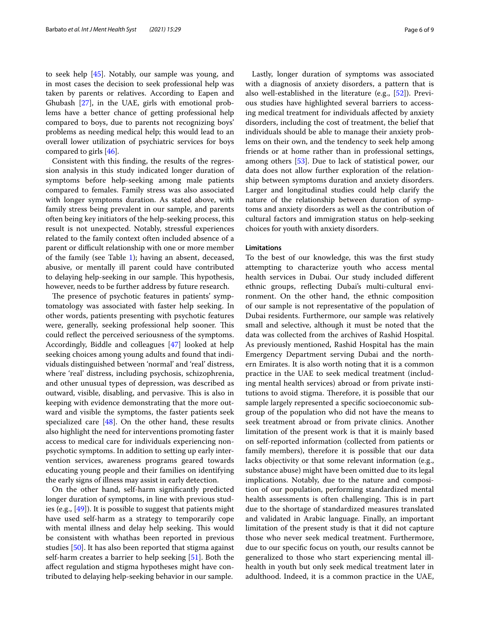to seek help [[45\]](#page-7-35). Notably, our sample was young, and in most cases the decision to seek professional help was taken by parents or relatives. According to Eapen and Ghubash [\[27\]](#page-7-21), in the UAE, girls with emotional problems have a better chance of getting professional help compared to boys, due to parents not recognizing boys' problems as needing medical help; this would lead to an overall lower utilization of psychiatric services for boys compared to girls [[46](#page-7-36)].

Consistent with this fnding, the results of the regression analysis in this study indicated longer duration of symptoms before help-seeking among male patients compared to females. Family stress was also associated with longer symptoms duration. As stated above, with family stress being prevalent in our sample, and parents often being key initiators of the help-seeking process, this result is not unexpected. Notably, stressful experiences related to the family context often included absence of a parent or difficult relationship with one or more member of the family (see Table  $1$ ); having an absent, deceased, abusive, or mentally ill parent could have contributed to delaying help-seeking in our sample. This hypothesis, however, needs to be further address by future research.

The presence of psychotic features in patients' symptomatology was associated with faster help seeking. In other words, patients presenting with psychotic features were, generally, seeking professional help sooner. This could refect the perceived seriousness of the symptoms. Accordingly, Biddle and colleagues [[47\]](#page-7-37) looked at help seeking choices among young adults and found that individuals distinguished between 'normal' and 'real' distress, where 'real' distress, including psychosis, schizophrenia, and other unusual types of depression, was described as outward, visible, disabling, and pervasive. This is also in keeping with evidence demonstrating that the more outward and visible the symptoms, the faster patients seek specialized care [\[48](#page-7-38)]. On the other hand, these results also highlight the need for interventions promoting faster access to medical care for individuals experiencing nonpsychotic symptoms. In addition to setting up early intervention services, awareness programs geared towards educating young people and their families on identifying the early signs of illness may assist in early detection.

On the other hand, self-harm signifcantly predicted longer duration of symptoms, in line with previous studies (e.g., [[49\]](#page-7-39)). It is possible to suggest that patients might have used self-harm as a strategy to temporarily cope with mental illness and delay help seeking. This would be consistent with whathas been reported in previous studies [[50\]](#page-8-0). It has also been reported that stigma against self-harm creates a barrier to help seeking [[51\]](#page-8-1). Both the afect regulation and stigma hypotheses might have contributed to delaying help-seeking behavior in our sample.

Lastly, longer duration of symptoms was associated with a diagnosis of anxiety disorders, a pattern that is also well-established in the literature (e.g., [\[52](#page-8-2)]). Previous studies have highlighted several barriers to accessing medical treatment for individuals afected by anxiety disorders, including the cost of treatment, the belief that individuals should be able to manage their anxiety problems on their own, and the tendency to seek help among friends or at home rather than in professional settings, among others [[53\]](#page-8-3). Due to lack of statistical power, our data does not allow further exploration of the relationship between symptoms duration and anxiety disorders. Larger and longitudinal studies could help clarify the nature of the relationship between duration of symptoms and anxiety disorders as well as the contribution of cultural factors and immigration status on help-seeking choices for youth with anxiety disorders.

#### **Limitations**

To the best of our knowledge, this was the frst study attempting to characterize youth who access mental health services in Dubai. Our study included diferent ethnic groups, refecting Dubai's multi-cultural environment. On the other hand, the ethnic composition of our sample is not representative of the population of Dubai residents. Furthermore, our sample was relatively small and selective, although it must be noted that the data was collected from the archives of Rashid Hospital. As previously mentioned, Rashid Hospital has the main Emergency Department serving Dubai and the northern Emirates. It is also worth noting that it is a common practice in the UAE to seek medical treatment (including mental health services) abroad or from private institutions to avoid stigma. Therefore, it is possible that our sample largely represented a specifc socioeconomic subgroup of the population who did not have the means to seek treatment abroad or from private clinics. Another limitation of the present work is that it is mainly based on self-reported information (collected from patients or family members), therefore it is possible that our data lacks objectivity or that some relevant information (e.g., substance abuse) might have been omitted due to its legal implications. Notably, due to the nature and composition of our population, performing standardized mental health assessments is often challenging. This is in part due to the shortage of standardized measures translated and validated in Arabic language. Finally, an important limitation of the present study is that it did not capture those who never seek medical treatment. Furthermore, due to our specifc focus on youth, our results cannot be generalized to those who start experiencing mental illhealth in youth but only seek medical treatment later in adulthood. Indeed, it is a common practice in the UAE,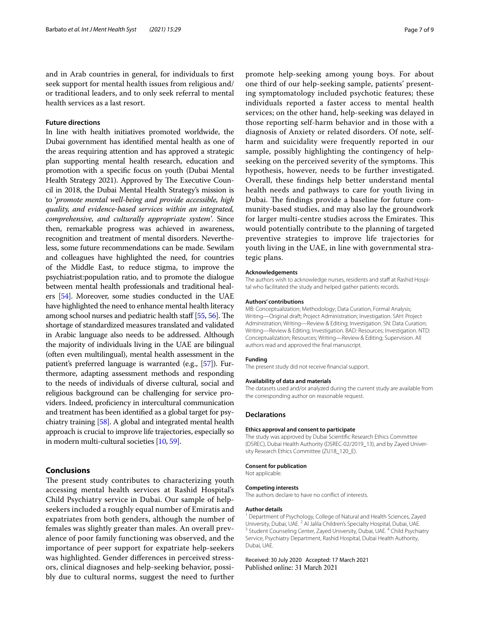and in Arab countries in general, for individuals to frst seek support for mental health issues from religious and/ or traditional leaders, and to only seek referral to mental health services as a last resort.

#### **Future directions**

In line with health initiatives promoted worldwide, the Dubai government has identifed mental health as one of the areas requiring attention and has approved a strategic plan supporting mental health research, education and promotion with a specifc focus on youth (Dubai Mental Health Strategy 2021). Approved by The Executive Council in 2018, the Dubai Mental Health Strategy's mission is to '*promote mental well-being and provide accessible, high quality, and evidence-based services within an integrated, comprehensive, and culturally appropriate system'*. Since then, remarkable progress was achieved in awareness, recognition and treatment of mental disorders. Nevertheless, some future recommendations can be made. Sewilam and colleagues have highlighted the need, for countries of the Middle East, to reduce stigma, to improve the psychiatrist:population ratio, and to promote the dialogue between mental health professionals and traditional healers [[54](#page-8-4)]. Moreover, some studies conducted in the UAE have highlighted the need to enhance mental health literacy among school nurses and pediatric health staff [[55](#page-8-5), [56](#page-8-6)]. The shortage of standardized measures translated and validated in Arabic language also needs to be addressed. Although the majority of individuals living in the UAE are bilingual (often even multilingual), mental health assessment in the patient's preferred language is warranted (e.g., [\[57\]](#page-8-7)). Furthermore, adapting assessment methods and responding to the needs of individuals of diverse cultural, social and religious background can be challenging for service providers. Indeed, profciency in intercultural communication and treatment has been identifed as a global target for psychiatry training [\[58\]](#page-8-8). A global and integrated mental health approach is crucial to improve life trajectories, especially so in modern multi-cultural societies [[10](#page-7-8), [59\]](#page-8-9).

#### **Conclusions**

The present study contributes to characterizing youth accessing mental health services at Rashid Hospital's Child Psychiatry service in Dubai. Our sample of helpseekers included a roughly equal number of Emiratis and expatriates from both genders, although the number of females was slightly greater than males. An overall prevalence of poor family functioning was observed, and the importance of peer support for expatriate help-seekers was highlighted. Gender diferences in perceived stressors, clinical diagnoses and help-seeking behavior, possibly due to cultural norms, suggest the need to further

promote help-seeking among young boys. For about one third of our help-seeking sample, patients' presenting symptomatology included psychotic features; these individuals reported a faster access to mental health services; on the other hand, help-seeking was delayed in those reporting self-harm behavior and in those with a diagnosis of Anxiety or related disorders. Of note, selfharm and suicidality were frequently reported in our sample, possibly highlighting the contingency of helpseeking on the perceived severity of the symptoms. This hypothesis, however, needs to be further investigated. Overall, these fndings help better understand mental health needs and pathways to care for youth living in Dubai. The findings provide a baseline for future community-based studies, and may also lay the groundwork for larger multi-centre studies across the Emirates. This would potentially contribute to the planning of targeted preventive strategies to improve life trajectories for youth living in the UAE, in line with governmental strategic plans.

#### **Acknowledgements**

The authors wish to acknowledge nurses, residents and staff at Rashid Hospital who facilitated the study and helped gather patients records.

#### **Authors' contributions**

MB: Conceptualization; Methodology; Data Curation, Formal Analysis; Writing—Original draft; Project Administration; Investigation. SAH: Project Administration; Writing—Review & Editing; Investigation. SN: Data Curation; Writing—Review & Editing; Investigation. BAD: Resources; Investigation. NTD: Conceptualization; Resources; Writing—Review & Editing; Supervision. All authors read and approved the fnal manuscript.

#### **Funding**

The present study did not receive fnancial support.

#### **Availability of data and materials**

The datasets used and/or analyzed during the current study are available from the corresponding author on reasonable request.

#### **Declarations**

#### **Ethics approval and consent to participate**

The study was approved by Dubai Scientifc Research Ethics Committee (DSREC), Dubai Health Authority (DSREC-02/2019\_13), and by Zayed University Research Ethics Committee (ZU18\_120\_E).

### **Consent for publication**

Not applicable.

#### **Competing interests**

The authors declare to have no confict of interests.

#### **Author details**

<sup>1</sup> Department of Psychology, College of Natural and Health Sciences, Zayed University, Dubai, UAE. <sup>2</sup> Al Jalila Children's Specialty Hospital, Dubai, UAE.<br><sup>3</sup> Student Counseling Center, Zayed University, Dubai, UAE. <sup>4</sup> Child Psychiatry Service, Psychiatry Department, Rashid Hospital, Dubai Health Authority, Dubai, UAE.

#### Received: 30 July 2020 Accepted: 17 March 2021Published online: 31 March 2021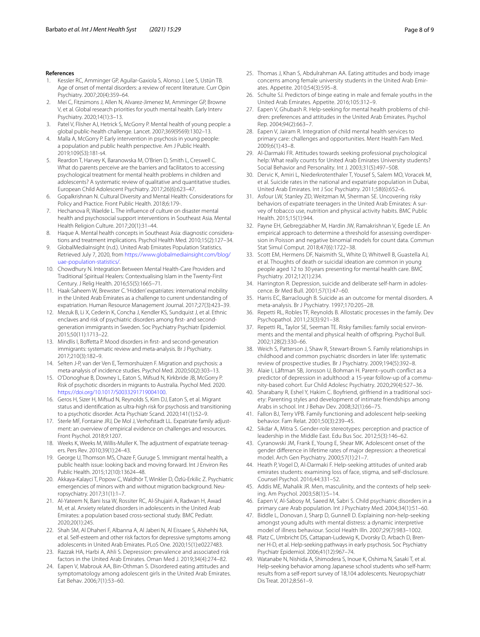#### **References**

- <span id="page-7-0"></span>1. Kessler RC, Amminger GP, Aguilar-Gaxiola S, Alonso J, Lee S, Ustün TB. Age of onset of mental disorders: a review of recent literature. Curr Opin Psychiatry. 2007;20(4):359–64.
- <span id="page-7-1"></span>2. Mei C, Fitzsimons J, Allen N, Alvarez-Jimenez M, Amminger GP, Browne V, et al. Global research priorities for youth mental health. Early Interv Psychiatry. 2020;14(1):3–13.
- 3. Patel V, Flisher AJ, Hetrick S, McGorry P. Mental health of young people: a global public-health challenge. Lancet. 2007;369(9569):1302–13.
- <span id="page-7-2"></span>4. Malla A, McGorry P. Early intervention in psychosis in young people: a population and public health perspective. Am J Public Health. 2019;109(S3):181-s4.
- <span id="page-7-3"></span>5. Reardon T, Harvey K, Baranowska M, O'Brien D, Smith L, Creswell C. What do parents perceive are the barriers and facilitators to accessing psychological treatment for mental health problems in children and adolescents? A systematic review of qualitative and quantitative studies. European Child Adolescent Psychiatry. 2017;26(6):623–47.
- <span id="page-7-4"></span>6. Gopalkrishnan N. Cultural Diversity and Mental Health: Considerations for Policy and Practice. Front Public Health. 2018;6:179-.
- <span id="page-7-5"></span>7. Hechanova R, Waelde L. The infuence of culture on disaster mental health and psychosocial support interventions in Southeast Asia. Mental Health Religion Culture. 2017;20(1):31–44.
- <span id="page-7-6"></span>8. Haque A. Mental health concepts in Southeast Asia: diagnostic considerations and treatment implications. Psychol Health Med. 2010;15(2):127–34.
- <span id="page-7-7"></span>9. GlobalMediaInsight (n.d.). United Arab Emirates Population Statistics. Retrieved July 7, 2020, from [https://www.globalmediainsight.com/blog/](https://www.globalmediainsight.com/blog/uae-population-statistics/) [uae-population-statistics/](https://www.globalmediainsight.com/blog/uae-population-statistics/).
- <span id="page-7-8"></span>10. Chowdhury N. Integration Between Mental Health-Care Providers and Traditional Spiritual Healers: Contextualising Islam in the Twenty-First Century. J Relig Health. 2016;55(5):1665–71.
- <span id="page-7-9"></span>11. Haak-Saheem W, Brewster C. 'Hidden' expatriates: international mobility in the United Arab Emirates as a challenge to current understanding of expatriation. Human Resource Management Journal. 2017;27(3):423–39.
- <span id="page-7-10"></span>12. Mezuk B, Li X, Cederin K, Concha J, Kendler KS, Sundquist J, et al. Ethnic enclaves and risk of psychiatric disorders among frst- and secondgeneration immigrants in Sweden. Soc Psychiatry Psychiatr Epidemiol. 2015;50(11):1713–22.
- 13. Mindlis I, Boffetta P. Mood disorders in first- and second-generation immigrants: systematic review and meta-analysis. Br J Psychiatry. 2017;210(3):182–9.
- 14. Selten J-P, van der Ven E, Termorshuizen F. Migration and psychosis: a meta-analysis of incidence studies. Psychol Med. 2020;50(2):303–13.
- 15. O'Donoghue B, Downey L, Eaton S, Mifsud N, Kirkbride JB, McGorry P. Risk of psychotic disorders in migrants to Australia. Psychol Med. 2020. [https://doi.org/10.1017/S0033291719004100.](https://doi.org/10.1017/S0033291719004100)
- <span id="page-7-11"></span>16. Geros H, Sizer H, Mifsud N, Reynolds S, Kim DJ, Eaton S, et al. Migrant status and identifcation as ultra-high risk for psychosis and transitioning to a psychotic disorder. Acta Psychiatr Scand. 2020;141(1):52–9.
- <span id="page-7-12"></span>17. Sterle MF, Fontaine JRJ, De Mol J, Verhofstadt LL. Expatriate family adjustment: an overview of empirical evidence on challenges and resources. Front Psychol. 2018;9:1207.
- <span id="page-7-13"></span>18. Weeks K, Weeks M, Willis-Muller K. The adjustment of expatriate teenagers. Pers Rev. 2010;39(1):24–43.
- <span id="page-7-14"></span>19. George U, Thomson MS, Chaze F, Guruge S. Immigrant mental health, a public health issue: looking back and moving forward. Int J Environ Res Public Health. 2015;12(10):13624–48.
- <span id="page-7-15"></span>20. Akkaya-Kalayci T, Popow C, Waldhör T, Winkler D, Özlü-Erkilic Z. Psychiatric emergencies of minors with and without migration background. Neuropsychiatry. 2017;31(1):1–7.
- <span id="page-7-16"></span>21. Al-Yateem N, Bani Issa W, Rossiter RC, Al-Shujairi A, Radwan H, Awad M, et al. Anxiety related disorders in adolescents in the United Arab Emirates: a population based cross-sectional study. BMC Pediatr. 2020;20(1):245.
- <span id="page-7-17"></span>22. Shah SM, Al Dhaheri F, Albanna A, Al Jaberi N, Al Eissaee S, Alshehhi NA, et al. Self-esteem and other risk factors for depressive symptoms among adolescents in United Arab Emirates. PLoS One. 2020;15(1):e0227483.
- <span id="page-7-18"></span>23. Razzak HA, Harbi A, Ahli S. Depression: prevalence and associated risk factors in the United Arab Emirates. Oman Med J. 2019;34(4):274–82.
- <span id="page-7-19"></span>24. Eapen V, Mabrouk AA, Bin-Othman S. Disordered eating attitudes and symptomatology among adolescent girls in the United Arab Emirates. Eat Behav. 2006;7(1):53–60.
- 25. Thomas J, Khan S, Abdulrahman AA. Eating attitudes and body image concerns among female university students in the United Arab Emirates. Appetite. 2010;54(3):595–8.
- <span id="page-7-20"></span>26. Schulte SJ. Predictors of binge eating in male and female youths in the United Arab Emirates. Appetite. 2016;105:312–9.
- <span id="page-7-21"></span>27. Eapen V, Ghubash R. Help-seeking for mental health problems of children: preferences and attitudes in the United Arab Emirates. Psychol Rep. 2004;94(2):663–7.
- 28. Eapen V, Jairam R. Integration of child mental health services to primary care: challenges and opportunities. Ment Health Fam Med. 2009;6(1):43–8.
- <span id="page-7-22"></span>29. Al-Darmaki FR. Attitudes towards seeking professional psychological help: What really counts for United Arab Emirates University students? Social Behavior and Personality. Int J. 2003;31(5):497–508.
- <span id="page-7-23"></span>30. Dervic K, Amiri L, Niederkrotenthaler T, Yousef S, Salem MO, Voracek M, et al. Suicide rates in the national and expatriate population in Dubai, United Arab Emirates. Int J Soc Psychiatry. 2011;58(6):652–6.
- <span id="page-7-24"></span>31. Asfour LW, Stanley ZD, Weitzman M, Sherman SE. Uncovering risky behaviors of expatriate teenagers in the United Arab Emirates: A survey of tobacco use, nutrition and physical activity habits. BMC Public Health. 2015;15(1):944.
- <span id="page-7-25"></span>32. Payne EH, Gebregziabher M, Hardin JW, Ramakrishnan V, Egede LE. An empirical approach to determine a threshold for assessing overdispersion in Poisson and negative binomial models for count data. Commun Stat Simul Comput. 2018;47(6):1722–38.
- <span id="page-7-26"></span>33. Scott EM, Hermens DF, Naismith SL, White D, Whitwell B, Guastella AJ, et al. Thoughts of death or suicidal ideation are common in young people aged 12 to 30 years presenting for mental health care. BMC Psychiatry. 2012;12(1):234.
- 34. Harrington R. Depression, suicide and deliberate self-harm in adolescence. Br Med Bull. 2001;57(1):47–60.
- <span id="page-7-27"></span>35. Harris EC, Barraclough B. Suicide as an outcome for mental disorders. A meta-analysis. Br J Psychiatry. 1997;170:205–28.
- <span id="page-7-28"></span>36. Repetti RL, Robles TF, Reynolds B. Allostatic processes in the family. Dev Psychopathol. 2011;23(3):921–38.
- 37. Repetti RL, Taylor SE, Seeman TE. Risky families: family social environments and the mental and physical health of ofspring. Psychol Bull. 2002;128(2):330–66.
- 38. Weich S, Patterson J, Shaw R, Stewart-Brown S. Family relationships in childhood and common psychiatric disorders in later life: systematic review of prospective studies. Br J Psychiatry. 2009;194(5):392–8.
- <span id="page-7-29"></span>39. Alaie I, Låftman SB, Jonsson U, Bohman H. Parent–youth confict as a predictor of depression in adulthood: a 15-year follow-up of a community-based cohort. Eur Child Adolesc Psychiatry. 2020;29(4):527–36.
- <span id="page-7-30"></span>40. Sharabany R, Eshel Y, Hakim C. Boyfriend, girlfriend in a traditional society: Parenting styles and development of intimate friendships among Arabs in school. Int J Behav Dev. 2008;32(1):66–75.
- <span id="page-7-31"></span>41. Fallon BJ, Terry VPB. Family functioning and adolescent help-seeking behavior. Fam Relat. 2001;50(3):239–45.
- <span id="page-7-32"></span>42. Sikdar A, Mitra S. Gender-role stereotypes: perception and practice of leadership in the Middle East. Edu Bus Soc. 2012;5(3):146–62.
- <span id="page-7-33"></span>43. Cyranowski JM, Frank E, Young E, Shear MK. Adolescent onset of the gender diference in lifetime rates of major depression: a theoretical model. Arch Gen Psychiatry. 2000;57(1):21–7.
- <span id="page-7-34"></span>44. Heath P, Vogel D, Al-Darmaki F. Help-seeking attitudes of united arab emirates students: examining loss of face, stigma, and self-disclosure. Counsel Psychol. 2016;44:331–52.
- <span id="page-7-35"></span>45. Addis ME, Mahalik JR. Men, masculinity, and the contexts of help seeking. Am Psychol. 2003;58(1):5–14.
- <span id="page-7-36"></span>46. Eapen V, Al-Sabosy M, Saeed M, Sabri S. Child psychiatric disorders in a primary care Arab population. Int J Psychiatry Med. 2004;34(1):51–60.
- <span id="page-7-37"></span>47. Biddle L, Donovan J, Sharp D, Gunnell D. Explaining non-help-seeking amongst young adults with mental distress: a dynamic interpretive model of illness behaviour. Sociol Health Illn. 2007;29(7):983–1002.
- <span id="page-7-38"></span>48. Platz C, Umbricht DS, Cattapan-Ludewig K, Dvorsky D, Arbach D, Brenner H-D, et al. Help-seeking pathways in early psychosis. Soc Psychiatry Psychiatr Epidemiol. 2006;41(12):967–74.
- <span id="page-7-39"></span>49. Watanabe N, Nishida A, Shimodera S, Inoue K, Oshima N, Sasaki T, et al. Help-seeking behavior among Japanese school students who self-harm: results from a self-report survey of 18,104 adolescents. Neuropsychiatr Dis Treat. 2012;8:561–9.